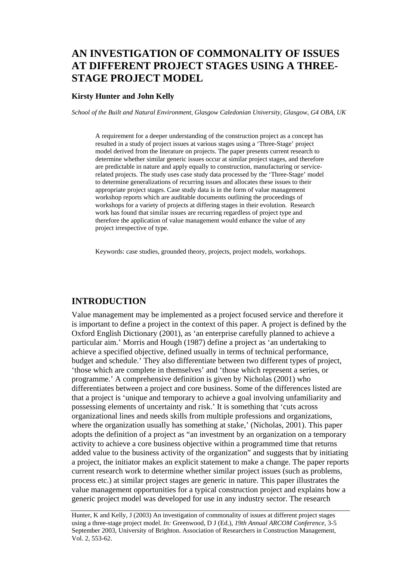# **AN INVESTIGATION OF COMMONALITY OF ISSUES AT DIFFERENT PROJECT STAGES USING A THREE-STAGE PROJECT MODEL**

### **Kirsty Hunter and John Kelly**

*School of the Built and Natural Environment, Glasgow Caledonian University, Glasgow, G4 OBA, UK* 

A requirement for a deeper understanding of the construction project as a concept has resulted in a study of project issues at various stages using a 'Three-Stage' project model derived from the literature on projects. The paper presents current research to determine whether similar generic issues occur at similar project stages, and therefore are predictable in nature and apply equally to construction, manufacturing or servicerelated projects. The study uses case study data processed by the 'Three-Stage' model to determine generalizations of recurring issues and allocates these issues to their appropriate project stages. Case study data is in the form of value management workshop reports which are auditable documents outlining the proceedings of workshops for a variety of projects at differing stages in their evolution. Research work has found that similar issues are recurring regardless of project type and therefore the application of value management would enhance the value of any project irrespective of type.

Keywords: case studies, grounded theory, projects, project models, workshops.

### **INTRODUCTION**

Value management may be implemented as a project focused service and therefore it is important to define a project in the context of this paper. A project is defined by the Oxford English Dictionary (2001), as 'an enterprise carefully planned to achieve a particular aim.' Morris and Hough (1987) define a project as 'an undertaking to achieve a specified objective, defined usually in terms of technical performance, budget and schedule.' They also differentiate between two different types of project, 'those which are complete in themselves' and 'those which represent a series, or programme.' A comprehensive definition is given by Nicholas (2001) who differentiates between a project and core business. Some of the differences listed are that a project is 'unique and temporary to achieve a goal involving unfamiliarity and possessing elements of uncertainty and risk.' It is something that 'cuts across organizational lines and needs skills from multiple professions and organizations, where the organization usually has something at stake,' (Nicholas, 2001). This paper adopts the definition of a project as "an investment by an organization on a temporary activity to achieve a core business objective within a programmed time that returns added value to the business activity of the organization" and suggests that by initiating a project, the initiator makes an explicit statement to make a change. The paper reports current research work to determine whether similar project issues (such as problems, process etc.) at similar project stages are generic in nature. This paper illustrates the value management opportunities for a typical construction project and explains how a generic project model was developed for use in any industry sector. The research

Hunter, K and Kelly, J (2003) An investigation of commonality of issues at different project stages using a three-stage project model. *In:* Greenwood, D J (Ed.), *19th Annual ARCOM Conference*, 3-5 September 2003, University of Brighton. Association of Researchers in Construction Management, Vol. 2, 553-62.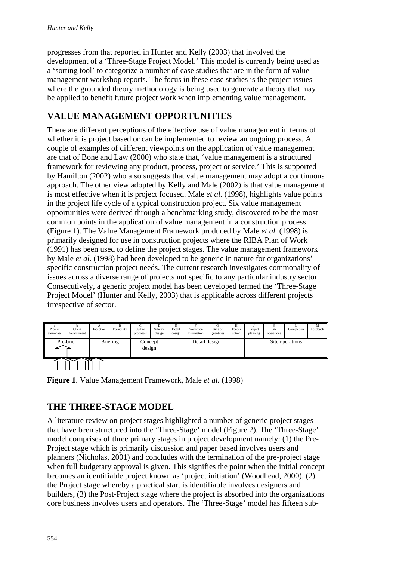progresses from that reported in Hunter and Kelly (2003) that involved the development of a 'Three-Stage Project Model.' This model is currently being used as a 'sorting tool' to categorize a number of case studies that are in the form of value management workshop reports. The focus in these case studies is the project issues where the grounded theory methodology is being used to generate a theory that may be applied to benefit future project work when implementing value management.

## **VALUE MANAGEMENT OPPORTUNITIES**

There are different perceptions of the effective use of value management in terms of whether it is project based or can be implemented to review an ongoing process. A couple of examples of different viewpoints on the application of value management are that of Bone and Law (2000) who state that, 'value management is a structured framework for reviewing any product, process, project or service.' This is supported by Hamilton (2002) who also suggests that value management may adopt a continuous approach. The other view adopted by Kelly and Male (2002) is that value management is most effective when it is project focused. Male *et al.* (1998), highlights value points in the project life cycle of a typical construction project. Six value management opportunities were derived through a benchmarking study, discovered to be the most common points in the application of value management in a construction process (Figure 1). The Value Management Framework produced by Male *et al.* (1998) is primarily designed for use in construction projects where the RIBA Plan of Work (1991) has been used to define the project stages. The value management framework by Male *et al.* (1998) had been developed to be generic in nature for organizations' specific construction project needs. The current research investigates commonality of issues across a diverse range of projects not specific to any particular industry sector. Consecutively, a generic project model has been developed termed the 'Three-Stage Project Model' (Hunter and Kelly, 2003) that is applicable across different projects irrespective of sector.

| a<br>Project<br>awareness | Client<br>development | Inception | R<br>Feasibility | Outline<br>proposals | Scheme<br>design | E<br>Detail<br>design | Production<br>Information | G<br>Bills of<br>Quantities | Н<br>Tender<br>action | Project<br>planning | Site<br>operations | Completion      | М<br>Feedback |
|---------------------------|-----------------------|-----------|------------------|----------------------|------------------|-----------------------|---------------------------|-----------------------------|-----------------------|---------------------|--------------------|-----------------|---------------|
|                           | Pre-brief             |           | <b>Briefing</b>  | Concept<br>design    |                  |                       | Detail design             |                             |                       |                     |                    | Site operations |               |
|                           |                       |           |                  |                      |                  |                       |                           |                             |                       |                     |                    |                 |               |

**Figure 1**. Value Management Framework, Male *et al.* (1998)

## **THE THREE-STAGE MODEL**

A literature review on project stages highlighted a number of generic project stages that have been structured into the 'Three-Stage' model (Figure 2). The 'Three-Stage' model comprises of three primary stages in project development namely: (1) the Pre-Project stage which is primarily discussion and paper based involves users and planners (Nicholas, 2001) and concludes with the termination of the pre-project stage when full budgetary approval is given. This signifies the point when the initial concept becomes an identifiable project known as 'project initiation' (Woodhead, 2000), (2) the Project stage whereby a practical start is identifiable involves designers and builders, (3) the Post-Project stage where the project is absorbed into the organizations core business involves users and operators. The 'Three-Stage' model has fifteen sub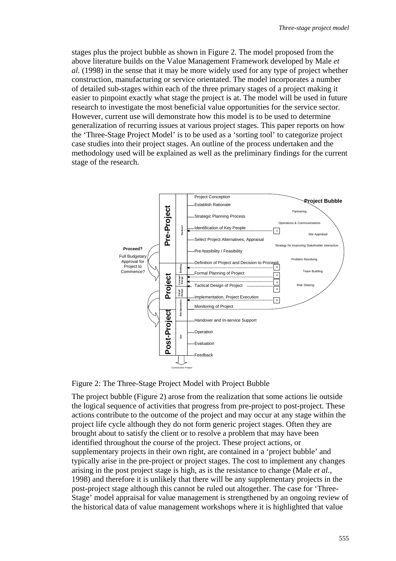stages plus the project bubble as shown in Figure 2. The model proposed from the above literature builds on the Value Management Framework developed by Male *et al.* (1998) in the sense that it may be more widely used for any type of project whether construction, manufacturing or service orientated. The model incorporates a number of detailed sub-stages within each of the three primary stages of a project making it easier to pinpoint exactly what stage the project is at. The model will be used in future research to investigate the most beneficial value opportunities for the service sector. However, current use will demonstrate how this model is to be used to determine generalization of recurring issues at various project stages. This paper reports on how the 'Three-Stage Project Model' is to be used as a 'sorting tool' to categorize project case studies into their project stages. An outline of the process undertaken and the methodology used will be explained as well as the preliminary findings for the current stage of the research.



Figure 2: The Three-Stage Project Model with Project Bubble

The project bubble (Figure 2) arose from the realization that some actions lie outside the logical sequence of activities that progress from pre-project to post-project. These actions contribute to the outcome of the project and may occur at any stage within the project life cycle although they do not form generic project stages. Often they are brought about to satisfy the client or to resolve a problem that may have been identified throughout the course of the project. These project actions, or supplementary projects in their own right, are contained in a 'project bubble' and typically arise in the pre-project or project stages. The cost to implement any changes arising in the post project stage is high, as is the resistance to change (Male *et al.*, 1998) and therefore it is unlikely that there will be any supplementary projects in the post-project stage although this cannot be ruled out altogether. The case for 'Three-Stage' model appraisal for value management is strengthened by an ongoing review of the historical data of value management workshops where it is highlighted that value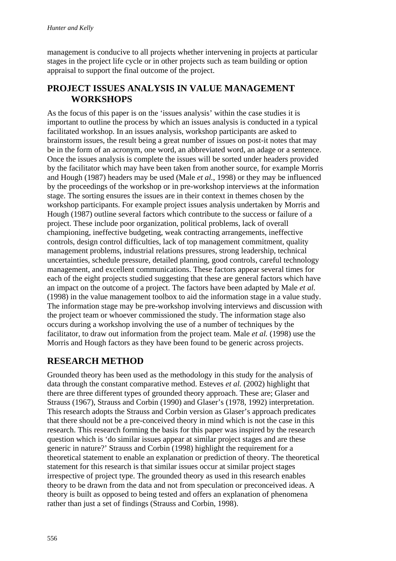management is conducive to all projects whether intervening in projects at particular stages in the project life cycle or in other projects such as team building or option appraisal to support the final outcome of the project.

## **PROJECT ISSUES ANALYSIS IN VALUE MANAGEMENT WORKSHOPS**

As the focus of this paper is on the 'issues analysis' within the case studies it is important to outline the process by which an issues analysis is conducted in a typical facilitated workshop. In an issues analysis, workshop participants are asked to brainstorm issues, the result being a great number of issues on post-it notes that may be in the form of an acronym, one word, an abbreviated word, an adage or a sentence. Once the issues analysis is complete the issues will be sorted under headers provided by the facilitator which may have been taken from another source, for example Morris and Hough (1987) headers may be used (Male *et al.*, 1998) or they may be influenced by the proceedings of the workshop or in pre-workshop interviews at the information stage. The sorting ensures the issues are in their context in themes chosen by the workshop participants. For example project issues analysis undertaken by Morris and Hough (1987) outline several factors which contribute to the success or failure of a project. These include poor organization, political problems, lack of overall championing, ineffective budgeting, weak contracting arrangements, ineffective controls, design control difficulties, lack of top management commitment, quality management problems, industrial relations pressures, strong leadership, technical uncertainties, schedule pressure, detailed planning, good controls, careful technology management, and excellent communications. These factors appear several times for each of the eight projects studied suggesting that these are general factors which have an impact on the outcome of a project. The factors have been adapted by Male *et al.* (1998) in the value management toolbox to aid the information stage in a value study. The information stage may be pre-workshop involving interviews and discussion with the project team or whoever commissioned the study. The information stage also occurs during a workshop involving the use of a number of techniques by the facilitator, to draw out information from the project team. Male *et al.* (1998) use the Morris and Hough factors as they have been found to be generic across projects.

## **RESEARCH METHOD**

Grounded theory has been used as the methodology in this study for the analysis of data through the constant comparative method. Esteves *et al.* (2002) highlight that there are three different types of grounded theory approach. These are; Glaser and Strauss (1967), Strauss and Corbin (1990) and Glaser's (1978, 1992) interpretation. This research adopts the Strauss and Corbin version as Glaser's approach predicates that there should not be a pre-conceived theory in mind which is not the case in this research. This research forming the basis for this paper was inspired by the research question which is 'do similar issues appear at similar project stages and are these generic in nature?' Strauss and Corbin (1998) highlight the requirement for a theoretical statement to enable an explanation or prediction of theory. The theoretical statement for this research is that similar issues occur at similar project stages irrespective of project type. The grounded theory as used in this research enables theory to be drawn from the data and not from speculation or preconceived ideas. A theory is built as opposed to being tested and offers an explanation of phenomena rather than just a set of findings (Strauss and Corbin, 1998).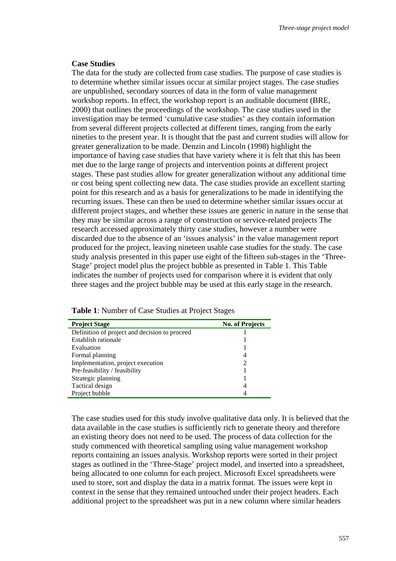#### **Case Studies**

The data for the study are collected from case studies. The purpose of case studies is to determine whether similar issues occur at similar project stages. The case studies are unpublished, secondary sources of data in the form of value management workshop reports. In effect, the workshop report is an auditable document (BRE, 2000) that outlines the proceedings of the workshop. The case studies used in the investigation may be termed 'cumulative case studies' as they contain information from several different projects collected at different times, ranging from the early nineties to the present year. It is thought that the past and current studies will allow for greater generalization to be made. Denzin and Lincoln (1998) highlight the importance of having case studies that have variety where it is felt that this has been met due to the large range of projects and intervention points at different project stages. These past studies allow for greater generalization without any additional time or cost being spent collecting new data. The case studies provide an excellent starting point for this research and as a basis for generalizations to be made in identifying the recurring issues. These can then be used to determine whether similar issues occur at different project stages, and whether these issues are generic in nature in the sense that they may be similar across a range of construction or service-related projects The research accessed approximately thirty case studies, however a number were discarded due to the absence of an 'issues analysis' in the value management report produced for the project, leaving nineteen usable case studies for the study. The case study analysis presented in this paper use eight of the fifteen sub-stages in the 'Three-Stage' project model plus the project bubble as presented in Table 1. This Table indicates the number of projects used for comparison where it is evident that only three stages and the project bubble may be used at this early stage in the research.

| <b>Project Stage</b>                          | <b>No. of Projects</b> |
|-----------------------------------------------|------------------------|
| Definition of project and decision to proceed |                        |
| Establish rationale                           |                        |
| Evaluation                                    |                        |
| Formal planning                               |                        |
| Implementation, project execution             |                        |
| Pre-feasibility / feasibility                 |                        |
| Strategic planning                            |                        |
| Tactical design                               | 4                      |
| Project bubble                                |                        |

**Table 1**: Number of Case Studies at Project Stages

The case studies used for this study involve qualitative data only. It is believed that the data available in the case studies is sufficiently rich to generate theory and therefore an existing theory does not need to be used. The process of data collection for the study commenced with theoretical sampling using value management workshop reports containing an issues analysis. Workshop reports were sorted in their project stages as outlined in the 'Three-Stage' project model, and inserted into a spreadsheet, being allocated to one column for each project. Microsoft Excel spreadsheets were used to store, sort and display the data in a matrix format. The issues were kept in context in the sense that they remained untouched under their project headers. Each additional project to the spreadsheet was put in a new column where similar headers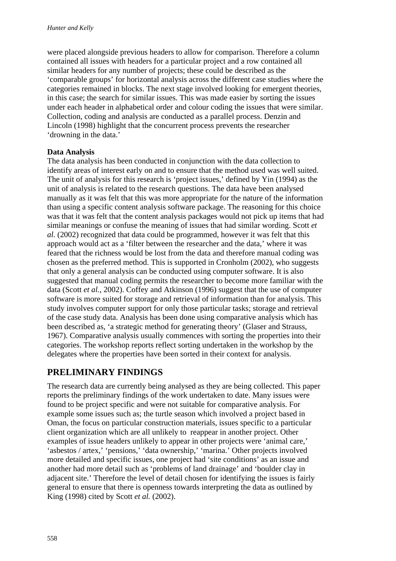were placed alongside previous headers to allow for comparison. Therefore a column contained all issues with headers for a particular project and a row contained all similar headers for any number of projects; these could be described as the 'comparable groups' for horizontal analysis across the different case studies where the categories remained in blocks. The next stage involved looking for emergent theories, in this case; the search for similar issues. This was made easier by sorting the issues under each header in alphabetical order and colour coding the issues that were similar. Collection, coding and analysis are conducted as a parallel process. Denzin and Lincoln (1998) highlight that the concurrent process prevents the researcher 'drowning in the data.'

### **Data Analysis**

The data analysis has been conducted in conjunction with the data collection to identify areas of interest early on and to ensure that the method used was well suited. The unit of analysis for this research is 'project issues,' defined by Yin (1994) as the unit of analysis is related to the research questions. The data have been analysed manually as it was felt that this was more appropriate for the nature of the information than using a specific content analysis software package. The reasoning for this choice was that it was felt that the content analysis packages would not pick up items that had similar meanings or confuse the meaning of issues that had similar wording. Scott *et al.* (2002) recognized that data could be programmed, however it was felt that this approach would act as a 'filter between the researcher and the data,' where it was feared that the richness would be lost from the data and therefore manual coding was chosen as the preferred method. This is supported in Cronholm (2002), who suggests that only a general analysis can be conducted using computer software. It is also suggested that manual coding permits the researcher to become more familiar with the data (Scott *et al.*, 2002). Coffey and Atkinson (1996) suggest that the use of computer software is more suited for storage and retrieval of information than for analysis. This study involves computer support for only those particular tasks; storage and retrieval of the case study data. Analysis has been done using comparative analysis which has been described as, 'a strategic method for generating theory' (Glaser and Strauss, 1967). Comparative analysis usually commences with sorting the properties into their categories. The workshop reports reflect sorting undertaken in the workshop by the delegates where the properties have been sorted in their context for analysis.

## **PRELIMINARY FINDINGS**

The research data are currently being analysed as they are being collected. This paper reports the preliminary findings of the work undertaken to date. Many issues were found to be project specific and were not suitable for comparative analysis. For example some issues such as; the turtle season which involved a project based in Oman, the focus on particular construction materials, issues specific to a particular client organization which are all unlikely to reappear in another project. Other examples of issue headers unlikely to appear in other projects were 'animal care,' 'asbestos / artex,' 'pensions,' 'data ownership,' 'marina.' Other projects involved more detailed and specific issues, one project had 'site conditions' as an issue and another had more detail such as 'problems of land drainage' and 'boulder clay in adjacent site.' Therefore the level of detail chosen for identifying the issues is fairly general to ensure that there is openness towards interpreting the data as outlined by King (1998) cited by Scott *et al.* (2002).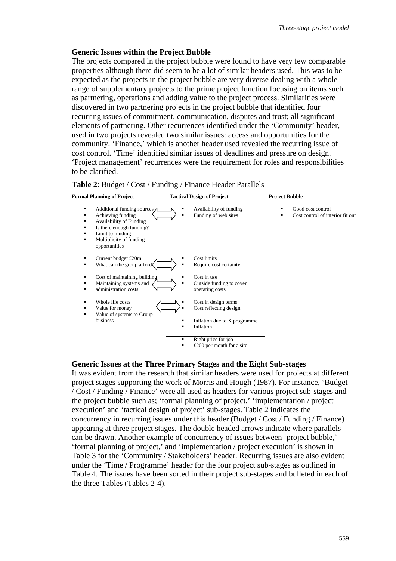### **Generic Issues within the Project Bubble**

The projects compared in the project bubble were found to have very few comparable properties although there did seem to be a lot of similar headers used. This was to be expected as the projects in the project bubble are very diverse dealing with a whole range of supplementary projects to the prime project function focusing on items such as partnering, operations and adding value to the project process. Similarities were discovered in two partnering projects in the project bubble that identified four recurring issues of commitment, communication, disputes and trust; all significant elements of partnering. Other recurrences identified under the 'Community' header, used in two projects revealed two similar issues: access and opportunities for the community. 'Finance,' which is another header used revealed the recurring issue of cost control. 'Time' identified similar issues of deadlines and pressure on design. 'Project management' recurrences were the requirement for roles and responsibilities to be clarified.

| <b>Formal Planning of Project</b>                                                                                                                                                       | <b>Tactical Design of Project</b>                                                                    | <b>Project Bubble</b>                                      |  |  |
|-----------------------------------------------------------------------------------------------------------------------------------------------------------------------------------------|------------------------------------------------------------------------------------------------------|------------------------------------------------------------|--|--|
| Additional funding sources<br>٠<br>Achieving funding<br><b>Availability of Funding</b><br>Is there enough funding?<br>▪<br>Limit to funding<br>Multiplicity of funding<br>opportunities | Availability of funding<br>Funding of web sites                                                      | Good cost control<br>٠<br>Cost control of interior fit out |  |  |
| Current budget £20m<br>٠<br>What can the group afford                                                                                                                                   | <b>Cost limits</b><br>Require cost certainty<br>п                                                    |                                                            |  |  |
| Cost of maintaining building<br>٠<br>Maintaining systems and<br>administration costs<br>٠                                                                                               | Cost in use<br>Outside funding to cover<br>operating costs                                           |                                                            |  |  |
| Whole life costs<br>٠<br>Value for money<br>Value of systems to Group                                                                                                                   | Cost in design terms<br>Cost reflecting design                                                       |                                                            |  |  |
| business                                                                                                                                                                                | Inflation due to X programme<br>$\blacksquare$<br>Inflation<br>Right price for job<br>$\blacksquare$ |                                                            |  |  |
|                                                                                                                                                                                         | £200 per month for a site                                                                            |                                                            |  |  |

| Table 2: Budget / Cost / Funding / Finance Header Parallels |
|-------------------------------------------------------------|
|-------------------------------------------------------------|

### **Generic Issues at the Three Primary Stages and the Eight Sub-stages**

It was evident from the research that similar headers were used for projects at different project stages supporting the work of Morris and Hough (1987). For instance, 'Budget / Cost / Funding / Finance' were all used as headers for various project sub-stages and the project bubble such as; 'formal planning of project,' 'implementation / project execution' and 'tactical design of project' sub-stages. Table 2 indicates the concurrency in recurring issues under this header (Budget / Cost / Funding / Finance) appearing at three project stages. The double headed arrows indicate where parallels can be drawn. Another example of concurrency of issues between 'project bubble,' 'formal planning of project,' and 'implementation / project execution' is shown in Table 3 for the 'Community / Stakeholders' header. Recurring issues are also evident under the 'Time / Programme' header for the four project sub-stages as outlined in Table 4. The issues have been sorted in their project sub-stages and bulleted in each of the three Tables (Tables 2-4).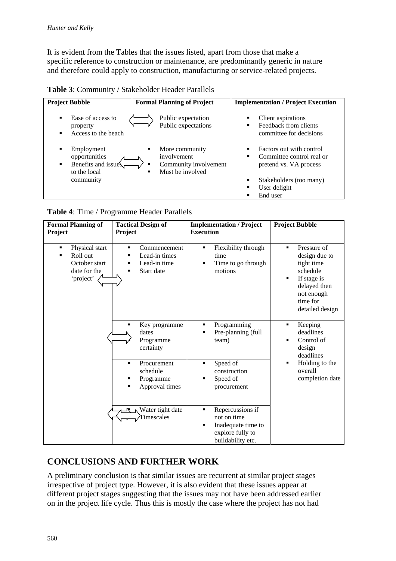It is evident from the Tables that the issues listed, apart from those that make a specific reference to construction or maintenance, are predominantly generic in nature and therefore could apply to construction, manufacturing or service-related projects.

**Table 3**: Community / Stakeholder Header Parallels

| <b>Project Bubble</b>                                                       | <b>Formal Planning of Project</b>                                               | <b>Implementation / Project Execution</b>                                        |  |  |
|-----------------------------------------------------------------------------|---------------------------------------------------------------------------------|----------------------------------------------------------------------------------|--|--|
| Ease of access to<br>property<br>Access to the beach                        | Public expectation<br>Public expectations                                       | Client aspirations<br>٠<br>Feedback from clients<br>٠<br>committee for decisions |  |  |
| Employment<br>п<br>opportunities<br>Benefits and issue<br>٠<br>to the local | More community<br>involvement<br>Community involvement<br>٠<br>Must be involved | Factors out with control<br>Committee control real or<br>pretend vs. VA process  |  |  |
| community                                                                   |                                                                                 | Stakeholders (too many)<br>٠<br>User delight<br>End user                         |  |  |

**Table 4**: Time / Programme Header Parallels

| <b>Formal Planning of</b><br>Project                                                            | <b>Tactical Design of</b><br>Project                                          | <b>Implementation / Project</b><br><b>Execution</b>                                                      | <b>Project Bubble</b>                                                                                                                                     |
|-------------------------------------------------------------------------------------------------|-------------------------------------------------------------------------------|----------------------------------------------------------------------------------------------------------|-----------------------------------------------------------------------------------------------------------------------------------------------------------|
| Physical start<br>٠<br>Roll out<br>$\blacksquare$<br>October start<br>date for the<br>'project' | Commencement<br>٠<br>Lead-in times<br>п<br>Lead-in time<br>п<br>Start date    | Flexibility through<br>٠<br>time<br>Time to go through<br>motions                                        | Pressure of<br>$\blacksquare$<br>design due to<br>tight time<br>schedule<br>If stage is<br>٠<br>delayed then<br>not enough<br>time for<br>detailed design |
|                                                                                                 | Key programme<br>dates<br>Programme<br>certainty                              | Programming<br>٠<br>Pre-planning (full<br>team)                                                          | Keeping<br>٠<br>deadlines<br>Control of<br>٠<br>design<br>deadlines                                                                                       |
|                                                                                                 | Procurement<br>$\blacksquare$<br>schedule<br>Programme<br>Approval times<br>п | Speed of<br>п<br>construction<br>Speed of<br>procurement                                                 | Holding to the<br>٠<br>overall<br>completion date                                                                                                         |
|                                                                                                 | Water tight date<br>Timescales                                                | Repercussions if<br>٠<br>not on time<br>Inadequate time to<br>٠<br>explore fully to<br>buildability etc. |                                                                                                                                                           |

## **CONCLUSIONS AND FURTHER WORK**

A preliminary conclusion is that similar issues are recurrent at similar project stages irrespective of project type. However, it is also evident that these issues appear at different project stages suggesting that the issues may not have been addressed earlier on in the project life cycle. Thus this is mostly the case where the project has not had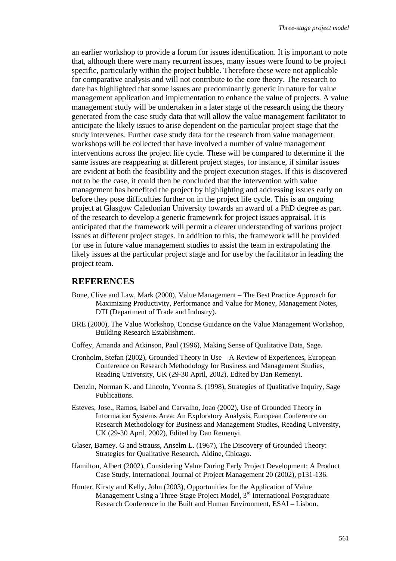an earlier workshop to provide a forum for issues identification. It is important to note that, although there were many recurrent issues, many issues were found to be project specific, particularly within the project bubble. Therefore these were not applicable for comparative analysis and will not contribute to the core theory. The research to date has highlighted that some issues are predominantly generic in nature for value management application and implementation to enhance the value of projects. A value management study will be undertaken in a later stage of the research using the theory generated from the case study data that will allow the value management facilitator to anticipate the likely issues to arise dependent on the particular project stage that the study intervenes. Further case study data for the research from value management workshops will be collected that have involved a number of value management interventions across the project life cycle. These will be compared to determine if the same issues are reappearing at different project stages, for instance, if similar issues are evident at both the feasibility and the project execution stages. If this is discovered not to be the case, it could then be concluded that the intervention with value management has benefited the project by highlighting and addressing issues early on before they pose difficulties further on in the project life cycle. This is an ongoing project at Glasgow Caledonian University towards an award of a PhD degree as part of the research to develop a generic framework for project issues appraisal. It is anticipated that the framework will permit a clearer understanding of various project issues at different project stages. In addition to this, the framework will be provided for use in future value management studies to assist the team in extrapolating the likely issues at the particular project stage and for use by the facilitator in leading the project team.

### **REFERENCES**

- Bone, Clive and Law, Mark (2000), Value Management The Best Practice Approach for Maximizing Productivity, Performance and Value for Money, Management Notes, DTI (Department of Trade and Industry).
- BRE (2000), The Value Workshop, Concise Guidance on the Value Management Workshop, Building Research Establishment.
- Coffey, Amanda and Atkinson, Paul (1996), Making Sense of Qualitative Data, Sage.
- Cronholm, Stefan (2002), Grounded Theory in Use A Review of Experiences, European Conference on Research Methodology for Business and Management Studies, Reading University, UK (29-30 April, 2002), Edited by Dan Remenyi.
- Denzin, Norman K. and Lincoln, Yvonna S. (1998), Strategies of Qualitative Inquiry, Sage Publications.
- Esteves, Jose., Ramos, Isabel and Carvalho, Joao (2002), Use of Grounded Theory in Information Systems Area: An Exploratory Analysis, European Conference on Research Methodology for Business and Management Studies, Reading University, UK (29-30 April, 2002), Edited by Dan Remenyi.
- Glaser, Barney. G and Strauss, Anselm L. (1967), The Discovery of Grounded Theory: Strategies for Qualitative Research, Aldine, Chicago.
- Hamilton, Albert (2002), Considering Value During Early Project Development: A Product Case Study, International Journal of Project Management 20 (2002), p131-136.
- Hunter, Kirsty and Kelly, John (2003), Opportunities for the Application of Value Management Using a Three-Stage Project Model, 3<sup>rd</sup> International Postgraduate Research Conference in the Built and Human Environment, ESAI – Lisbon.